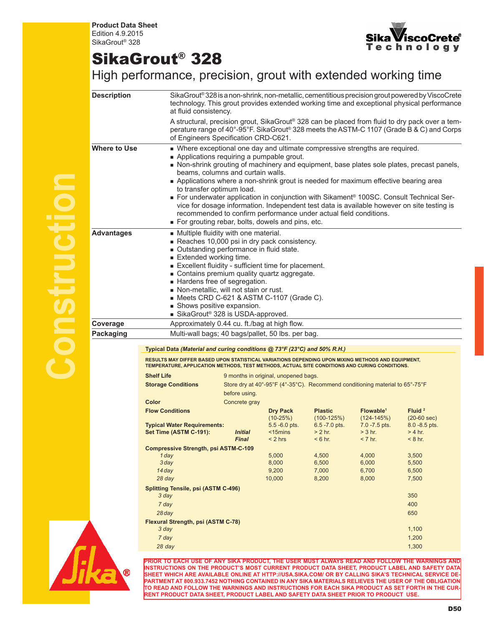

## SikaGrout® 328

High performance, precision, grout with extended working time

| <b>Description</b>                | SikaGrout® 328 is a non-shrink, non-metallic, cementitious precision grout powered by ViscoCrete<br>technology. This grout provides extended working time and exceptional physical performance<br>at fluid consistency.                                                                                                                                                                                                                  |                                                                                                                                                                                                                                                                                                                                                                                                                                                                                                                                                                                                                                                                                                                                       |                                      |                  |                       |                                                                                                                                                                                            |  |  |
|-----------------------------------|------------------------------------------------------------------------------------------------------------------------------------------------------------------------------------------------------------------------------------------------------------------------------------------------------------------------------------------------------------------------------------------------------------------------------------------|---------------------------------------------------------------------------------------------------------------------------------------------------------------------------------------------------------------------------------------------------------------------------------------------------------------------------------------------------------------------------------------------------------------------------------------------------------------------------------------------------------------------------------------------------------------------------------------------------------------------------------------------------------------------------------------------------------------------------------------|--------------------------------------|------------------|-----------------------|--------------------------------------------------------------------------------------------------------------------------------------------------------------------------------------------|--|--|
|                                   | of Engineers Specification CRD-C621.                                                                                                                                                                                                                                                                                                                                                                                                     |                                                                                                                                                                                                                                                                                                                                                                                                                                                                                                                                                                                                                                                                                                                                       |                                      |                  |                       | A structural, precision grout, SikaGrout® 328 can be placed from fluid to dry pack over a tem-<br>perature range of 40°-95°F. SikaGrout® 328 meets the ASTM-C 1107 (Grade B & C) and Corps |  |  |
| Where to Use<br><b>Advantages</b> |                                                                                                                                                                                                                                                                                                                                                                                                                                          | • Where exceptional one day and ultimate compressive strengths are required.<br>Applications requiring a pumpable grout.<br>Non-shrink grouting of machinery and equipment, base plates sole plates, precast panels,<br>beams, columns and curtain walls.<br>Applications where a non-shrink grout is needed for maximum effective bearing area<br>to transfer optimum load.<br>For underwater application in conjunction with Sikament® 100SC. Consult Technical Ser-<br>vice for dosage information. Independent test data is available however on site testing is<br>recommended to confirm performance under actual field conditions.<br>For grouting rebar, bolts, dowels and pins, etc.<br>Multiple fluidity with one material. |                                      |                  |                       |                                                                                                                                                                                            |  |  |
|                                   | Reaches 10,000 psi in dry pack consistency.<br>Outstanding performance in fluid state.<br>Extended working time.<br>Excellent fluidity - sufficient time for placement.<br>Contains premium quality quartz aggregate.<br>Hardens free of segregation.<br>Non-metallic, will not stain or rust.<br>$\blacksquare$ Meets CRD C-621 & ASTM C-1107 (Grade C).<br>Shows positive expansion.<br>■ SikaGrout <sup>®</sup> 328 is USDA-approved. |                                                                                                                                                                                                                                                                                                                                                                                                                                                                                                                                                                                                                                                                                                                                       |                                      |                  |                       |                                                                                                                                                                                            |  |  |
| Coverage                          | Approximately 0.44 cu. ft./bag at high flow.                                                                                                                                                                                                                                                                                                                                                                                             |                                                                                                                                                                                                                                                                                                                                                                                                                                                                                                                                                                                                                                                                                                                                       |                                      |                  |                       |                                                                                                                                                                                            |  |  |
| <b>Packaging</b>                  | Multi-wall bags; 40 bags/pallet, 50 lbs. per bag.                                                                                                                                                                                                                                                                                                                                                                                        |                                                                                                                                                                                                                                                                                                                                                                                                                                                                                                                                                                                                                                                                                                                                       |                                      |                  |                       |                                                                                                                                                                                            |  |  |
|                                   |                                                                                                                                                                                                                                                                                                                                                                                                                                          |                                                                                                                                                                                                                                                                                                                                                                                                                                                                                                                                                                                                                                                                                                                                       |                                      |                  |                       |                                                                                                                                                                                            |  |  |
|                                   | Typical Data (Material and curing conditions @ 73°F (23°C) and 50% R.H.)<br>RESULTS MAY DIFFER BASED UPON STATISTICAL VARIATIONS DEPENDING UPON MIXING METHODS AND EQUIPMENT,<br>TEMPERATURE, APPLICATION METHODS, TEST METHODS, ACTUAL SITE CONDITIONS AND CURING CONDITIONS.                                                                                                                                                           |                                                                                                                                                                                                                                                                                                                                                                                                                                                                                                                                                                                                                                                                                                                                       |                                      |                  |                       |                                                                                                                                                                                            |  |  |
|                                   | <b>Shelf Life</b>                                                                                                                                                                                                                                                                                                                                                                                                                        |                                                                                                                                                                                                                                                                                                                                                                                                                                                                                                                                                                                                                                                                                                                                       | 9 months in original, unopened bags. |                  |                       |                                                                                                                                                                                            |  |  |
|                                   | <b>Storage Conditions</b>                                                                                                                                                                                                                                                                                                                                                                                                                | Store dry at 40°-95°F (4°-35°C). Recommend conditioning material to 65°-75°F                                                                                                                                                                                                                                                                                                                                                                                                                                                                                                                                                                                                                                                          |                                      |                  |                       |                                                                                                                                                                                            |  |  |
|                                   | Color                                                                                                                                                                                                                                                                                                                                                                                                                                    | before using.<br>Concrete gray                                                                                                                                                                                                                                                                                                                                                                                                                                                                                                                                                                                                                                                                                                        |                                      |                  |                       |                                                                                                                                                                                            |  |  |
|                                   | <b>Flow Conditions</b>                                                                                                                                                                                                                                                                                                                                                                                                                   |                                                                                                                                                                                                                                                                                                                                                                                                                                                                                                                                                                                                                                                                                                                                       | <b>Dry Pack</b>                      | <b>Plastic</b>   | Flowable <sup>1</sup> | Fluid $2$                                                                                                                                                                                  |  |  |
|                                   |                                                                                                                                                                                                                                                                                                                                                                                                                                          |                                                                                                                                                                                                                                                                                                                                                                                                                                                                                                                                                                                                                                                                                                                                       | $(10-25%)$                           | $(100-125%)$     | $(124 - 145%)$        | $(20-60 sec)$                                                                                                                                                                              |  |  |
|                                   | <b>Typical Water Requirements:</b>                                                                                                                                                                                                                                                                                                                                                                                                       |                                                                                                                                                                                                                                                                                                                                                                                                                                                                                                                                                                                                                                                                                                                                       | $5.5 - 6.0$ pts.                     | $6.5 - 7.0$ pts. | $7.0 - 7.5$ pts.      | $8.0 - 8.5$ pts.                                                                                                                                                                           |  |  |
|                                   | Set Time (ASTM C-191):                                                                                                                                                                                                                                                                                                                                                                                                                   | <i><b>Initial</b></i>                                                                                                                                                                                                                                                                                                                                                                                                                                                                                                                                                                                                                                                                                                                 | $15 mins$                            | $> 2$ hr.        | $> 3$ hr.             | $> 4$ hr.                                                                                                                                                                                  |  |  |
|                                   |                                                                                                                                                                                                                                                                                                                                                                                                                                          | <b>Final</b>                                                                                                                                                                                                                                                                                                                                                                                                                                                                                                                                                                                                                                                                                                                          | $< 2$ hrs                            | $< 6$ hr.        | $< 7$ hr.             | $< 8$ hr.                                                                                                                                                                                  |  |  |
|                                   | <b>Compressive Strength, psi ASTM-C-109</b>                                                                                                                                                                                                                                                                                                                                                                                              |                                                                                                                                                                                                                                                                                                                                                                                                                                                                                                                                                                                                                                                                                                                                       |                                      |                  |                       |                                                                                                                                                                                            |  |  |
|                                   | 1 day                                                                                                                                                                                                                                                                                                                                                                                                                                    |                                                                                                                                                                                                                                                                                                                                                                                                                                                                                                                                                                                                                                                                                                                                       | 5,000                                | 4,500            | 4,000                 | 3,500                                                                                                                                                                                      |  |  |
|                                   | $3$ day                                                                                                                                                                                                                                                                                                                                                                                                                                  |                                                                                                                                                                                                                                                                                                                                                                                                                                                                                                                                                                                                                                                                                                                                       | 8,000                                | 6,500            | 6,000                 | 5,500                                                                                                                                                                                      |  |  |
|                                   | 14 day                                                                                                                                                                                                                                                                                                                                                                                                                                   |                                                                                                                                                                                                                                                                                                                                                                                                                                                                                                                                                                                                                                                                                                                                       | 9,200                                | 7,000            | 6,700                 | 6,500                                                                                                                                                                                      |  |  |
|                                   | 28 day                                                                                                                                                                                                                                                                                                                                                                                                                                   |                                                                                                                                                                                                                                                                                                                                                                                                                                                                                                                                                                                                                                                                                                                                       | 10,000                               | 8,200            | 8,000                 | 7,500                                                                                                                                                                                      |  |  |
|                                   | <b>Splitting Tensile, psi (ASTM C-496)</b><br>3 day                                                                                                                                                                                                                                                                                                                                                                                      |                                                                                                                                                                                                                                                                                                                                                                                                                                                                                                                                                                                                                                                                                                                                       |                                      |                  |                       | 350                                                                                                                                                                                        |  |  |
|                                   | 7 day                                                                                                                                                                                                                                                                                                                                                                                                                                    |                                                                                                                                                                                                                                                                                                                                                                                                                                                                                                                                                                                                                                                                                                                                       |                                      |                  |                       | 400                                                                                                                                                                                        |  |  |
|                                   | $28$ day                                                                                                                                                                                                                                                                                                                                                                                                                                 |                                                                                                                                                                                                                                                                                                                                                                                                                                                                                                                                                                                                                                                                                                                                       |                                      |                  |                       | 650                                                                                                                                                                                        |  |  |
|                                   | Flexural Strength, psi (ASTM C-78)                                                                                                                                                                                                                                                                                                                                                                                                       |                                                                                                                                                                                                                                                                                                                                                                                                                                                                                                                                                                                                                                                                                                                                       |                                      |                  |                       |                                                                                                                                                                                            |  |  |
|                                   | 3 day                                                                                                                                                                                                                                                                                                                                                                                                                                    |                                                                                                                                                                                                                                                                                                                                                                                                                                                                                                                                                                                                                                                                                                                                       |                                      |                  |                       | 1,100                                                                                                                                                                                      |  |  |
|                                   | 7 day                                                                                                                                                                                                                                                                                                                                                                                                                                    |                                                                                                                                                                                                                                                                                                                                                                                                                                                                                                                                                                                                                                                                                                                                       |                                      |                  |                       | 1,200                                                                                                                                                                                      |  |  |
|                                   | 28 day                                                                                                                                                                                                                                                                                                                                                                                                                                   |                                                                                                                                                                                                                                                                                                                                                                                                                                                                                                                                                                                                                                                                                                                                       |                                      |                  |                       | 1,300                                                                                                                                                                                      |  |  |
|                                   |                                                                                                                                                                                                                                                                                                                                                                                                                                          |                                                                                                                                                                                                                                                                                                                                                                                                                                                                                                                                                                                                                                                                                                                                       |                                      |                  |                       |                                                                                                                                                                                            |  |  |
|                                   | PRIOR TO EACH USE OF ANY SIKA PRODUCT, THE USER MUST ALWAYS READ AND FOLLOW THE WARNINGS AND                                                                                                                                                                                                                                                                                                                                             |                                                                                                                                                                                                                                                                                                                                                                                                                                                                                                                                                                                                                                                                                                                                       |                                      |                  |                       |                                                                                                                                                                                            |  |  |



**INSTRUCTIONS ON THE PRODUCT'S MOST CURRENT PRODUCT DATA SHEET, PRODUCT LABEL AND SAFETY DATA SHEET WHICH ARE AVAILABLE ONLINE AT HTTP://USA.SIKA.COM/ OR BY CALLING SIKA'S TECHNICAL SERVICE DE-PARTMENT AT 800.933.7452 NOTHING CONTAINED IN ANY SIKA MATERIALS RELIEVES THE USER OF THE OBLIGATION TO READ AND FOLLOW THE WARNINGS AND INSTRUCTIONS FOR EACH SIKA PRODUCT AS SET FORTH IN THE CUR-RENT PRODUCT DATA SHEET, PRODUCT LABEL AND SAFETY DATA SHEET PRIOR TO PRODUCT USE.**